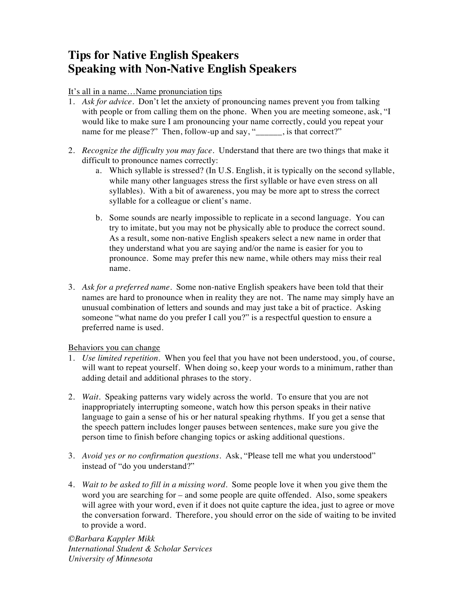## **Tips for Native English Speakers Speaking with Non-Native English Speakers**

It's all in a name…Name pronunciation tips

- 1. *Ask for advice*. Don't let the anxiety of pronouncing names prevent you from talking with people or from calling them on the phone. When you are meeting someone, ask, "I would like to make sure I am pronouncing your name correctly, could you repeat your name for me please?" Then, follow-up and say, "
<u>\_\_\_\_</u>, is that correct?"
- 2. *Recognize the difficulty you may face*. Understand that there are two things that make it difficult to pronounce names correctly:
	- a. Which syllable is stressed? (In U.S. English, it is typically on the second syllable, while many other languages stress the first syllable or have even stress on all syllables). With a bit of awareness, you may be more apt to stress the correct syllable for a colleague or client's name.
	- b. Some sounds are nearly impossible to replicate in a second language. You can try to imitate, but you may not be physically able to produce the correct sound. As a result, some non-native English speakers select a new name in order that they understand what you are saying and/or the name is easier for you to pronounce. Some may prefer this new name, while others may miss their real name.
- 3. *Ask for a preferred name*. Some non-native English speakers have been told that their names are hard to pronounce when in reality they are not. The name may simply have an unusual combination of letters and sounds and may just take a bit of practice. Asking someone "what name do you prefer I call you?" is a respectful question to ensure a preferred name is used.

Behaviors you can change

- 1. *Use limited repetition*. When you feel that you have not been understood, you, of course, will want to repeat yourself. When doing so, keep your words to a minimum, rather than adding detail and additional phrases to the story.
- 2. *Wait*. Speaking patterns vary widely across the world. To ensure that you are not inappropriately interrupting someone, watch how this person speaks in their native language to gain a sense of his or her natural speaking rhythms. If you get a sense that the speech pattern includes longer pauses between sentences, make sure you give the person time to finish before changing topics or asking additional questions.
- 3. *Avoid yes or no confirmation questions*. Ask, "Please tell me what you understood" instead of "do you understand?"
- 4. *Wait to be asked to fill in a missing word*. Some people love it when you give them the word you are searching for – and some people are quite offended. Also, some speakers will agree with your word, even if it does not quite capture the idea, just to agree or move the conversation forward. Therefore, you should error on the side of waiting to be invited to provide a word.

*©Barbara Kappler Mikk International Student & Scholar Services University of Minnesota*